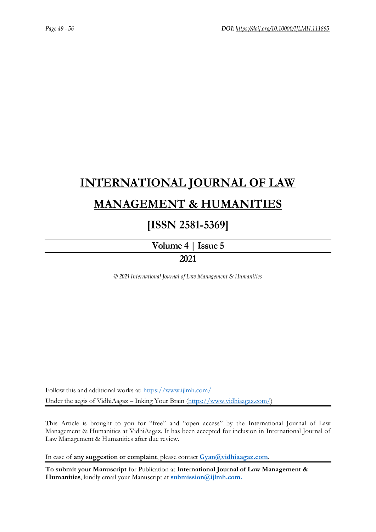# **[INTERNATIONAL JOURNAL OF LAW](https://www.ijlmh.com/)  [MANAGEMENT & HUMANITIES](https://www.ijlmh.com/)**

### **[ISSN 2581-5369]**

**[Volume 4 |](https://www.ijlmh.com/publications/volume-iv-issue-v/) Issue 5 2021**

*© 2021 International Journal of Law Management & Humanities*

Follow this and additional works at:<https://www.ijlmh.com/> Under the aegis of VidhiAagaz – Inking Your Brain [\(https://www.vidhiaagaz.com/\)](https://www.vidhiaagaz.com/)

This Article is brought to you for "free" and "open access" by the International Journal of Law Management & Humanities at VidhiAagaz. It has been accepted for inclusion in International Journal of Law Management & Humanities after due review.

In case of **any suggestion or complaint**, please contact **[Gyan@vidhiaagaz.com.](mailto:Gyan@vidhiaagaz.com)** 

**To submit your Manuscript** for Publication at **International Journal of Law Management & Humanities**, kindly email your Manuscript at **[submission@ijlmh.com.](mailto:submission@ijlmh.com)**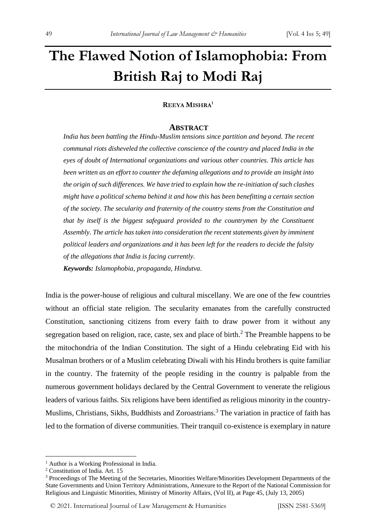## **The Flawed Notion of Islamophobia: From British Raj to Modi Raj**

### **REEYA MISHRA<sup>1</sup>**

#### **ABSTRACT**

*India has been battling the Hindu-Muslim tensions since partition and beyond. The recent communal riots disheveled the collective conscience of the country and placed India in the eyes of doubt of International organizations and various other countries. This article has been written as an effort to counter the defaming allegations and to provide an insight into the origin of such differences. We have tried to explain how the re-initiation of such clashes might have a political schema behind it and how this has been benefitting a certain section of the society. The secularity and fraternity of the country stems from the Constitution and that by itself is the biggest safeguard provided to the countrymen by the Constituent Assembly. The article has taken into consideration the recent statements given by imminent political leaders and organizations and it has been left for the readers to decide the falsity of the allegations that India is facing currently. Keywords: Islamophobia, propaganda, Hindutva.*

India is the power-house of religious and cultural miscellany. We are one of the few countries without an official state religion. The secularity emanates from the carefully constructed Constitution, sanctioning citizens from every faith to draw power from it without any segregation based on religion, race, caste, sex and place of birth. $<sup>2</sup>$  The Preamble happens to be</sup> the mitochondria of the Indian Constitution. The sight of a Hindu celebrating Eid with his Musalman brothers or of a Muslim celebrating Diwali with his Hindu brothers is quite familiar in the country. The fraternity of the people residing in the country is palpable from the numerous government holidays declared by the Central Government to venerate the religious leaders of various faiths. Six religions have been identified as religious minority in the country-Muslims, Christians, Sikhs, Buddhists and Zoroastrians.<sup>3</sup> The variation in practice of faith has led to the formation of diverse communities. Their tranquil co-existence is exemplary in nature

<sup>&</sup>lt;sup>1</sup> Author is a Working Professional in India.

<sup>2</sup> Constitution of India. Art. 15

<sup>&</sup>lt;sup>3</sup> Proceedings of The Meeting of the Secretaries, Minorities Welfare/Minorities Development Departments of the State Governments and Union Territory Administrations, Annexure to the Report of the National Commission for Religious and Linguistic Minorities, Ministry of Minority Affairs, (Vol II), at Page 45, (July 13, 2005)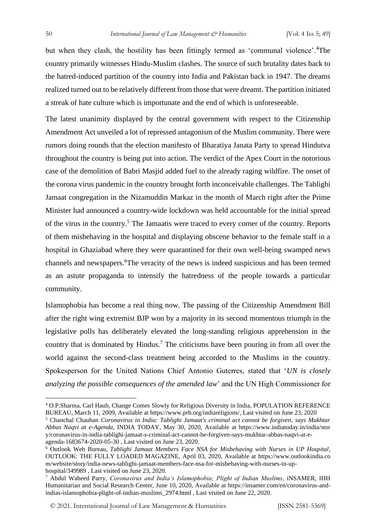but when they clash, the hostility has been fittingly termed as 'communal violence'.<sup>4</sup>The country primarily witnesses Hindu-Muslim clashes. The source of such brutality dates back to the hatred-induced partition of the country into India and Pakistan back in 1947. The dreams realized turned out to be relatively different from those that were dreamt. The partition initiated a streak of hate culture which is importunate and the end of which is unforeseeable.

The latest unanimity displayed by the central government with respect to the Citizenship Amendment Act unveiled a lot of repressed antagonism of the Muslim community. There were rumors doing rounds that the election manifesto of Bharatiya Janata Party to spread Hindutva throughout the country is being put into action. The verdict of the Apex Court in the notorious case of the demolition of Babri Masjid added fuel to the already raging wildfire. The onset of the corona virus pandemic in the country brought forth inconceivable challenges. The Tablighi Jamaat congregation in the Nizamuddin Markaz in the month of March right after the Prime Minister had announced a country-wide lockdown was held accountable for the initial spread of the virus in the country.<sup>5</sup> The Jamaatis were traced to every corner of the country. Reports of them misbehaving in the hospital and displaying obscene behavior to the female staff in a hospital in Ghaziabad where they were quarantined for their own well-being swamped news channels and newspapers.<sup>6</sup>The veracity of the news is indeed suspicious and has been termed as an astute propaganda to intensify the hatredness of the people towards a particular community.

Islamophobia has become a real thing now. The passing of the Citizenship Amendment Bill after the right wing extremist BJP won by a majority in its second momentous triumph in the legislative polls has deliberately elevated the long-standing religious apprehension in the country that is dominated by Hindus.<sup>7</sup> The criticisms have been pouring in from all over the world against the second-class treatment being accorded to the Muslims in the country. Spokesperson for the United Nations Chief Antonio Guterres, stated that '*UN is closely analyzing the possible consequences of the amended law*' and the UN High Commissioner for

© 2021. International Journal of [Law Management & Humanities](https://www.ijlmh.com/) [ISSN 2581-5369]

<sup>4</sup> O.P.Sharma, Carl Haub, Change Comes Slowly for Religious Diversity in India, POPULATION REFERENCE BUREAU, March 11, 2009, Available at https://www.prb.org/indiareligions/, Last visited on June 23, 2020

<sup>5</sup> Chanchal Chauhan *Coronavirus in India: Tablighi Jamaat's criminal act cannot be forgiven, says Mukhtar Abbas Naqvi at e-Agenda*, INDIA TODAY, May 30, 2020, Available at https://www.indiatoday.in/india/stor y/coronavirus-in-india-tablighi-jamaat-s-criminal-act-cannot-be-forgiven-says-mukhtar-abbas-naqvi-at-eagenda-1683674-2020-05-30 , Last visited on June 23, 2020.

<sup>6</sup> Outlook Web Bureau, *Tablighi Jamaat Members Face NSA for Misbehaving with Nurses in UP Hospital*, OUTLOOK: THE FULLY LOADED MAGAZINE, April 03, 2020, Available at https://www.outlookindia.co m/website/story/india-news-tablighi-jamaat-members-face-nsa-for-misbehaving-with-nurses-in-uphospital/349989 , Last visited on June 23, 2020.

<sup>7</sup> Abdul Waheed Parry, *Coronavirus and India's Islamophobia; Plight of Indian Muslims*, iNSAMER, IHH Humanitarian and Social Research Center, June 10, 2020, Available at https://insamer.com/en/coronavirus-andindias-islamophobia-plight-of-indian-muslims\_2974.html , Last visited on June 22, 2020.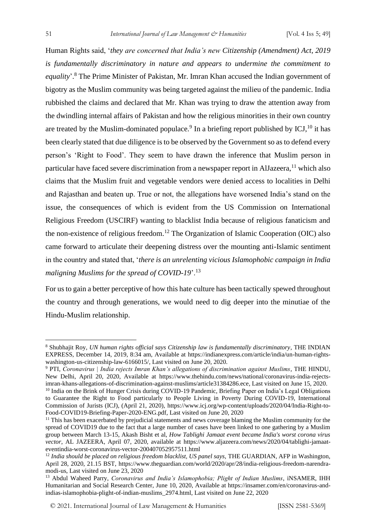Human Rights said, '*they are concerned that India's new Citizenship (Amendment) Act, 2019 is fundamentally discriminatory in nature and appears to undermine the commitment to*  equality'.<sup>8</sup> The Prime Minister of Pakistan, Mr. Imran Khan accused the Indian government of bigotry as the Muslim community was being targeted against the milieu of the pandemic. India rubbished the claims and declared that Mr. Khan was trying to draw the attention away from the dwindling internal affairs of Pakistan and how the religious minorities in their own country are treated by the Muslim-dominated populace.<sup>9</sup> In a briefing report published by ICJ,<sup>10</sup> it has been clearly stated that due diligence is to be observed by the Government so as to defend every person's 'Right to Food'. They seem to have drawn the inference that Muslim person in particular have faced severe discrimination from a newspaper report in AlJazeera,<sup>11</sup> which also claims that the Muslim fruit and vegetable vendors were denied access to localities in Delhi and Rajasthan and beaten up. True or not, the allegations have worsened India's stand on the issue, the consequences of which is evident from the US Commission on International Religious Freedom (USCIRF) wanting to blacklist India because of religious fanaticism and the non-existence of religious freedom.<sup>12</sup> The Organization of Islamic Cooperation (OIC) also came forward to articulate their deepening distress over the mounting anti-Islamic sentiment in the country and stated that, '*there is an unrelenting vicious Islamophobic campaign in India maligning Muslims for the spread of COVID-19*'.<sup>13</sup>

For us to gain a better perceptive of how this hate culture has been tactically spewed throughout the country and through generations, we would need to dig deeper into the minutiae of the Hindu-Muslim relationship.

<sup>8</sup> Shubhajit Roy, *UN human rights official says Citizenship law is fundamentally discriminatory*, THE INDIAN EXPRESS, December 14, 2019, 8:34 am, Available at https://indianexpress.com/article/india/un-human-rightswashington-us-citizenship-law-6166015/, Last visited on June 20, 2020.

<sup>9</sup> PTI, *Coronavirus | India rejects Imran Khan's allegations of discrimination against Muslims*, THE HINDU, New Delhi, April 20, 2020, Available at https://www.thehindu.com/news/national/coronavirus-india-rejectsimran-khans-allegations-of-discrimination-against-muslims/article31384286.ece, Last visited on June 15, 2020.

<sup>&</sup>lt;sup>10</sup> India on the Brink of Hunger Crisis during COVID-19 Pandemic, Briefing Paper on India's Legal Obligations to Guarantee the Right to Food particularly to People Living in Poverty During COVID-19, International Commission of Jurists (ICJ), (April 21, 2020), https://www.icj.org/wp-content/uploads/2020/04/India-Right-to-Food-COVID19-Briefing-Paper-2020-ENG.pdf, Last visited on June 20, 2020

<sup>&</sup>lt;sup>11</sup> This has been exacerbated by prejudicial statements and news coverage blaming the Muslim community for the spread of COVID19 due to the fact that a large number of cases have been linked to one gathering by a Muslim group between March 13-15, Akash Bisht et al, *How Tablighi Jamaat event became India's worst corona virus vector*, AL JAZEERA, April 07, 2020, available at https://www.aljazeera.com/news/2020/04/tablighi-jamaateventindia-worst-coronavirus-vector-200407052957511.html

<sup>&</sup>lt;sup>12</sup> India should be placed on religious freedom blacklist, US panel says, THE GUARDIAN, AFP in Washington, April 28, 2020, 21.15 BST, https://www.theguardian.com/world/2020/apr/28/india-religious-freedom-narendramodi-us, Last visited on June 23, 2020

<sup>&</sup>lt;sup>13</sup> Abdul Waheed Parry, *Coronavirus and India's Islamophobia; Plight of Indian Muslims*, *iNSAMER*, IHH Humanitarian and Social Research Center, June 10, 2020, Available at https://insamer.com/en/coronavirus-andindias-islamophobia-plight-of-indian-muslims\_2974.html, Last visited on June 22, 2020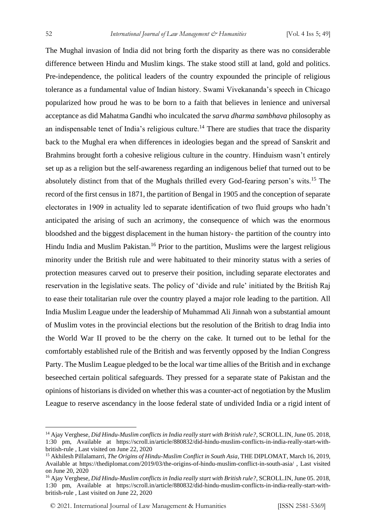The Mughal invasion of India did not bring forth the disparity as there was no considerable difference between Hindu and Muslim kings. The stake stood still at land, gold and politics. Pre-independence, the political leaders of the country expounded the principle of religious tolerance as a fundamental value of Indian history. Swami Vivekananda's speech in Chicago popularized how proud he was to be born to a faith that believes in lenience and universal acceptance as did Mahatma Gandhi who inculcated the *sarva dharma sambhava* philosophy as an indispensable tenet of India's religious culture.<sup>14</sup> There are studies that trace the disparity back to the Mughal era when differences in ideologies began and the spread of Sanskrit and Brahmins brought forth a cohesive religious culture in the country. Hinduism wasn't entirely set up as a religion but the self-awareness regarding an indigenous belief that turned out to be absolutely distinct from that of the Mughals thrilled every God-fearing person's wits.<sup>15</sup> The record of the first census in 1871, the partition of Bengal in 1905 and the conception of separate electorates in 1909 in actuality led to separate identification of two fluid groups who hadn't anticipated the arising of such an acrimony, the consequence of which was the enormous bloodshed and the biggest displacement in the human history- the partition of the country into Hindu India and Muslim Pakistan.<sup>16</sup> Prior to the partition, Muslims were the largest religious minority under the British rule and were habituated to their minority status with a series of protection measures carved out to preserve their position, including separate electorates and reservation in the legislative seats. The policy of 'divide and rule' initiated by the British Raj to ease their totalitarian rule over the country played a major role leading to the partition. All India Muslim League under the leadership of Muhammad Ali Jinnah won a substantial amount of Muslim votes in the provincial elections but the resolution of the British to drag India into the World War II proved to be the cherry on the cake. It turned out to be lethal for the comfortably established rule of the British and was fervently opposed by the Indian Congress Party. The Muslim League pledged to be the local war time allies of the British and in exchange beseeched certain political safeguards. They pressed for a separate state of Pakistan and the opinions of historians is divided on whether this was a counter-act of negotiation by the Muslim League to reserve ascendancy in the loose federal state of undivided India or a rigid intent of

<sup>14</sup> Ajay Verghese, *Did Hindu-Muslim conflicts in India really start with British rule?*, SCROLL.IN, June 05. 2018, 1:30 pm, Available at https://scroll.in/article/880832/did-hindu-muslim-conflicts-in-india-really-start-withbritish-rule , Last visited on June 22, 2020

<sup>15</sup> Akhilesh Pillalamarri, *The Origins of Hindu-Muslim Conflict in South Asia*, THE DIPLOMAT, March 16, 2019, Available at https://thediplomat.com/2019/03/the-origins-of-hindu-muslim-conflict-in-south-asia/ , Last visited on June 20, 2020

<sup>16</sup> Ajay Verghese, *Did Hindu-Muslim conflicts in India really start with British rule?*, SCROLL.IN, June 05. 2018, 1:30 pm, Available at https://scroll.in/article/880832/did-hindu-muslim-conflicts-in-india-really-start-withbritish-rule , Last visited on June 22, 2020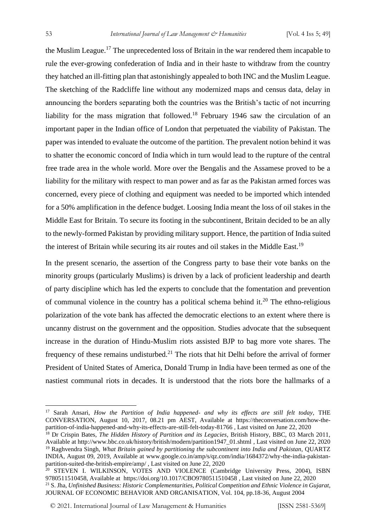the Muslim League.<sup>17</sup> The unprecedented loss of Britain in the war rendered them incapable to rule the ever-growing confederation of India and in their haste to withdraw from the country they hatched an ill-fitting plan that astonishingly appealed to both INC and the Muslim League. The sketching of the Radcliffe line without any modernized maps and census data, delay in announcing the borders separating both the countries was the British's tactic of not incurring liability for the mass migration that followed.<sup>18</sup> February 1946 saw the circulation of an important paper in the Indian office of London that perpetuated the viability of Pakistan. The paper was intended to evaluate the outcome of the partition. The prevalent notion behind it was to shatter the economic concord of India which in turn would lead to the rupture of the central free trade area in the whole world. More over the Bengalis and the Assamese proved to be a liability for the military with respect to man power and as far as the Pakistan armed forces was concerned, every piece of clothing and equipment was needed to be imported which intended for a 50% amplification in the defence budget. Loosing India meant the loss of oil stakes in the Middle East for Britain. To secure its footing in the subcontinent, Britain decided to be an ally to the newly-formed Pakistan by providing military support. Hence, the partition of India suited the interest of Britain while securing its air routes and oil stakes in the Middle East.<sup>19</sup>

In the present scenario, the assertion of the Congress party to base their vote banks on the minority groups (particularly Muslims) is driven by a lack of proficient leadership and dearth of party discipline which has led the experts to conclude that the fomentation and prevention of communal violence in the country has a political schema behind it.<sup>20</sup> The ethno-religious polarization of the vote bank has affected the democratic elections to an extent where there is uncanny distrust on the government and the opposition. Studies advocate that the subsequent increase in the duration of Hindu-Muslim riots assisted BJP to bag more vote shares. The frequency of these remains undisturbed.<sup>21</sup> The riots that hit Delhi before the arrival of former President of United States of America, Donald Trump in India have been termed as one of the nastiest communal riots in decades. It is understood that the riots bore the hallmarks of a

© 2021. International Journal of [Law Management & Humanities](https://www.ijlmh.com/) [ISSN 2581-5369]

<sup>17</sup> Sarah Ansari, *How the Partition of India happened- and why its effects are still felt today*, THE CONVERSATION, August 10, 2017, 08.21 pm AEST, Available at https://theconversation.com/how-thepartition-of-india-happened-and-why-its-effects-are-still-felt-today-81766 , Last visited on June 22, 2020

<sup>&</sup>lt;sup>18</sup> Dr Crispin Bates, *The Hidden History of Partition and its Legacies*, British History, BBC, 03 March 2011, Available at http://www.bbc.co.uk/history/british/modern/partition1947\_01.shtml , Last visited on June 22, 2020

<sup>19</sup> Raghvendra Singh, *What Britain gained by partitioning the subcontinent into India and Pakistan*, QUARTZ INDIA, August 09, 2019, Available at www.google.co.in/amp/s/qz.com/india/1684372/why-the-india-pakistanpartition-suited-the-british-empire/amp/ , Last visited on June 22, 2020

<sup>&</sup>lt;sup>20</sup> STEVEN I. WILKINSON, VOTES AND VIOLENCE (Cambridge University Press, 2004), ISBN 9780511510458, Available at https://doi.org/10.1017/CBO9780511510458 , Last visited on June 22, 2020 <sup>21</sup> S. Jha, *Unfinished Business: Historic Complementarities, Political Competition and Ethnic Violence in Gujarat*, JOURNAL OF ECONOMIC BEHAVIOR AND ORGANISATION, Vol. 104, pp.18-36, August 2004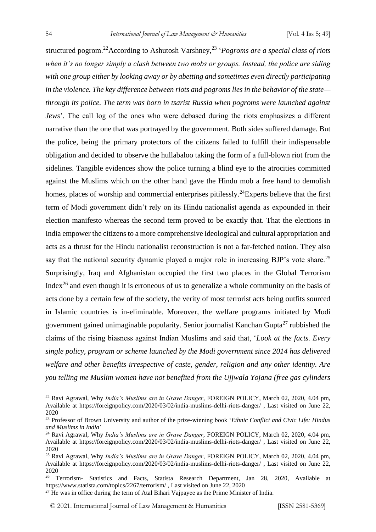structured pogrom.<sup>22</sup> According to Ashutosh Varshney,<sup>23</sup> 'Pogroms are a special class of riots *when it's no longer simply a clash between two mobs or groups. Instead, the police are siding with one group either by looking away or by abetting and sometimes even directly participating in the violence. The key difference between riots and pogroms lies in the behavior of the state through its police. The term was born in tsarist Russia when pogroms were launched against Jews*'. The call log of the ones who were debased during the riots emphasizes a different narrative than the one that was portrayed by the government. Both sides suffered damage. But the police, being the primary protectors of the citizens failed to fulfill their indispensable obligation and decided to observe the hullabaloo taking the form of a full-blown riot from the sidelines. Tangible evidences show the police turning a blind eye to the atrocities committed against the Muslims which on the other hand gave the Hindu mob a free hand to demolish homes, places of worship and commercial enterprises pitilessly.<sup>24</sup>Experts believe that the first term of Modi government didn't rely on its Hindu nationalist agenda as expounded in their election manifesto whereas the second term proved to be exactly that. That the elections in India empower the citizens to a more comprehensive ideological and cultural appropriation and acts as a thrust for the Hindu nationalist reconstruction is not a far-fetched notion. They also say that the national security dynamic played a major role in increasing BJP's vote share.<sup>25</sup> Surprisingly, Iraq and Afghanistan occupied the first two places in the Global Terrorism Index<sup>26</sup> and even though it is erroneous of us to generalize a whole community on the basis of acts done by a certain few of the society, the verity of most terrorist acts being outfits sourced in Islamic countries is in-eliminable. Moreover, the welfare programs initiated by Modi government gained unimaginable popularity. Senior journalist Kanchan Gupta<sup>27</sup> rubbished the claims of the rising biasness against Indian Muslims and said that, '*Look at the facts. Every single policy, program or scheme launched by the Modi government since 2014 has delivered welfare and other benefits irrespective of caste, gender, religion and any other identity. Are you telling me Muslim women have not benefited from the Ujjwala Yojana (free gas cylinders* 

<sup>22</sup> Ravi Agrawal, Why *India's Muslims are in Grave Danger*, FOREIGN POLICY, March 02, 2020, 4.04 pm, Available at https://foreignpolicy.com/2020/03/02/india-muslims-delhi-riots-danger/ , Last visited on June 22, 2020

<sup>23</sup> Professor of Brown University and author of the prize-winning book '*Ethnic Conflict and Civic Life: Hindus and Muslims in India*'

<sup>24</sup> Ravi Agrawal, Why *India's Muslims are in Grave Danger*, FOREIGN POLICY, March 02, 2020, 4.04 pm, Available at https://foreignpolicy.com/2020/03/02/india-muslims-delhi-riots-danger/ , Last visited on June 22, 2020

<sup>25</sup> Ravi Agrawal, Why *India's Muslims are in Grave Danger*, FOREIGN POLICY, March 02, 2020, 4.04 pm, Available at https://foreignpolicy.com/2020/03/02/india-muslims-delhi-riots-danger/ , Last visited on June 22, 2020

<sup>&</sup>lt;sup>26</sup> Terrorism- Statistics and Facts, Statista Research Department, Jan 28, 2020, Available at https://www.statista.com/topics/2267/terrorism/ , Last visited on June 22, 2020

<sup>&</sup>lt;sup>27</sup> He was in office during the term of Atal Bihari Vajpayee as the Prime Minister of India.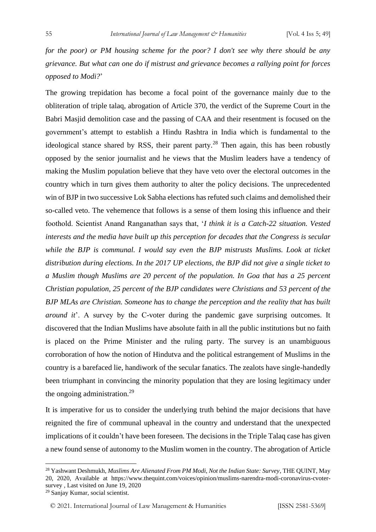*for the poor) or PM housing scheme for the poor? I don't see why there should be any grievance. But what can one do if mistrust and grievance becomes a rallying point for forces opposed to Modi?*'

The growing trepidation has become a focal point of the governance mainly due to the obliteration of triple talaq, abrogation of Article 370, the verdict of the Supreme Court in the Babri Masjid demolition case and the passing of CAA and their resentment is focused on the government's attempt to establish a Hindu Rashtra in India which is fundamental to the ideological stance shared by RSS, their parent party.<sup>28</sup> Then again, this has been robustly opposed by the senior journalist and he views that the Muslim leaders have a tendency of making the Muslim population believe that they have veto over the electoral outcomes in the country which in turn gives them authority to alter the policy decisions. The unprecedented win of BJP in two successive Lok Sabha elections has refuted such claims and demolished their so-called veto. The vehemence that follows is a sense of them losing this influence and their foothold. Scientist Anand Ranganathan says that, '*I think it is a Catch-22 situation. Vested interests and the media have built up this perception for decades that the Congress is secular*  while the BJP is communal. I would say even the BJP mistrusts Muslims. Look at ticket *distribution during elections. In the 2017 UP elections, the BJP did not give a single ticket to a Muslim though Muslims are 20 percent of the population. In Goa that has a 25 percent Christian population, 25 percent of the BJP candidates were Christians and 53 percent of the BJP MLAs are Christian. Someone has to change the perception and the reality that has built around it*'. A survey by the C-voter during the pandemic gave surprising outcomes. It discovered that the Indian Muslims have absolute faith in all the public institutions but no faith is placed on the Prime Minister and the ruling party. The survey is an unambiguous corroboration of how the notion of Hindutva and the political estrangement of Muslims in the country is a barefaced lie, handiwork of the secular fanatics. The zealots have single-handedly been triumphant in convincing the minority population that they are losing legitimacy under the ongoing administration.<sup>29</sup>

It is imperative for us to consider the underlying truth behind the major decisions that have reignited the fire of communal upheaval in the country and understand that the unexpected implications of it couldn't have been foreseen. The decisions in the Triple Talaq case has given a new found sense of autonomy to the Muslim women in the country. The abrogation of Article

<sup>28</sup> Yashwant Deshmukh, *Muslims Are Alienated From PM Modi, Not the Indian State: Survey*, THE QUINT, May 20, 2020, Available at https://www.thequint.com/voices/opinion/muslims-narendra-modi-coronavirus-cvotersurvey , Last visited on June 19, 2020

<sup>29</sup> Sanjay Kumar, social scientist.